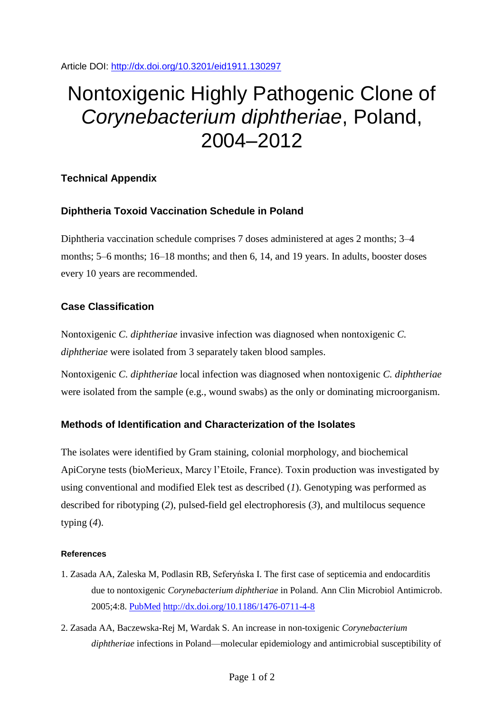Article DOI:<http://dx.doi.org/10.3201/eid1911.130297>

# Nontoxigenic Highly Pathogenic Clone of *Corynebacterium diphtheriae*, Poland, 2004–2012

### **Technical Appendix**

# **Diphtheria Toxoid Vaccination Schedule in Poland**

Diphtheria vaccination schedule comprises 7 doses administered at ages 2 months; 3–4 months; 5–6 months; 16–18 months; and then 6, 14, and 19 years. In adults, booster doses every 10 years are recommended.

# **Case Classification**

Nontoxigenic *C. diphtheriae* invasive infection was diagnosed when nontoxigenic *C. diphtheriae* were isolated from 3 separately taken blood samples.

Nontoxigenic *C. diphtheriae* local infection was diagnosed when nontoxigenic *C. diphtheriae* were isolated from the sample (e.g., wound swabs) as the only or dominating microorganism.

### **Methods of Identification and Characterization of the Isolates**

The isolates were identified by Gram staining, colonial morphology, and biochemical ApiCoryne tests (bioMerieux, Marcy l'Etoile, France). Toxin production was investigated by using conventional and modified Elek test as described (*1*). Genotyping was performed as described for ribotyping (*2*), pulsed-field gel electrophoresis (*3*), and multilocus sequence typing (*4*).

#### **References**

- 1. Zasada AA, Zaleska M, Podlasin RB, Seferyńska I. The first case of septicemia and endocarditis due to nontoxigenic *Corynebacterium diphtheriae* in Poland. Ann Clin Microbiol Antimicrob. 2005;4:8. [PubMed](http://www.ncbi.nlm.nih.gov/entrez/query.fcgi?cmd=Retrieve&db=PubMed&list_uids=15876349&dopt=Abstract) <http://dx.doi.org/10.1186/1476-0711-4-8>
- 2. Zasada AA, Baczewska-Rej M, Wardak S. An increase in non-toxigenic *Corynebacterium diphtheriae* infections in Poland—molecular epidemiology and antimicrobial susceptibility of